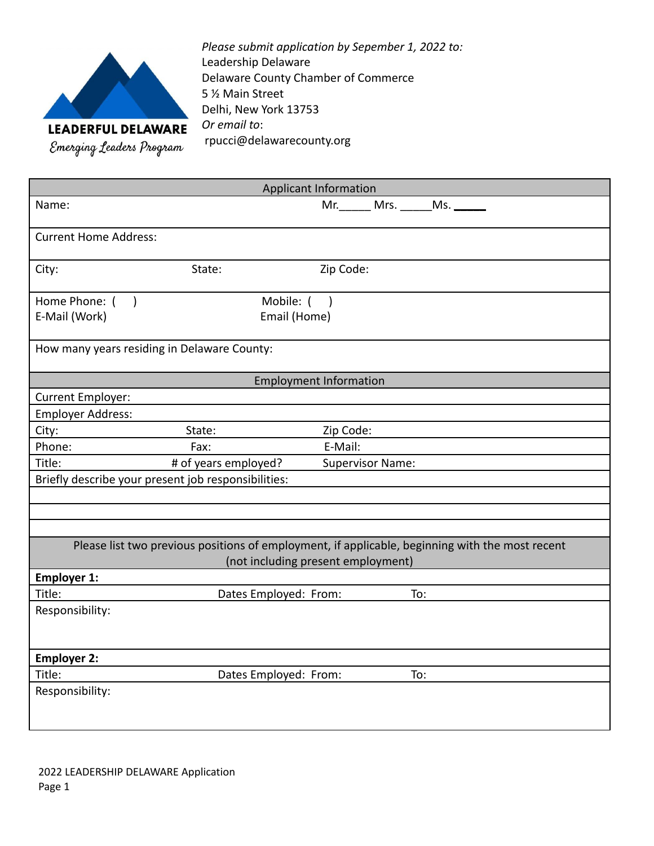

*Please submit application by Sepember 1, 2022 to:* Leadership Delaware Delaware County Chamber of Commerce 5 ½ Main Street Delhi, New York 13753 *Or email to*: rpucci@delawarecounty.org

| <b>Applicant Information</b>                                                                    |                       |                         |  |  |  |
|-------------------------------------------------------------------------------------------------|-----------------------|-------------------------|--|--|--|
| Name:                                                                                           |                       | Mr. Mrs. Ms.            |  |  |  |
| <b>Current Home Address:</b>                                                                    |                       |                         |  |  |  |
| City:                                                                                           | State:                | Zip Code:               |  |  |  |
| Home Phone: ()                                                                                  | Mobile: ()            |                         |  |  |  |
| E-Mail (Work)                                                                                   | Email (Home)          |                         |  |  |  |
| How many years residing in Delaware County:                                                     |                       |                         |  |  |  |
| <b>Employment Information</b>                                                                   |                       |                         |  |  |  |
| Current Employer:                                                                               |                       |                         |  |  |  |
| <b>Employer Address:</b>                                                                        |                       |                         |  |  |  |
| City:                                                                                           | State:                | Zip Code:               |  |  |  |
| Phone:                                                                                          | Fax:                  | E-Mail:                 |  |  |  |
| Title:                                                                                          | # of years employed?  | <b>Supervisor Name:</b> |  |  |  |
| Briefly describe your present job responsibilities:                                             |                       |                         |  |  |  |
|                                                                                                 |                       |                         |  |  |  |
|                                                                                                 |                       |                         |  |  |  |
|                                                                                                 |                       |                         |  |  |  |
| Please list two previous positions of employment, if applicable, beginning with the most recent |                       |                         |  |  |  |
| (not including present employment)<br><b>Employer 1:</b>                                        |                       |                         |  |  |  |
| Title:                                                                                          | Dates Employed: From: | To:                     |  |  |  |
| Responsibility:                                                                                 |                       |                         |  |  |  |
|                                                                                                 |                       |                         |  |  |  |
| <b>Employer 2:</b>                                                                              |                       |                         |  |  |  |
| Title:                                                                                          | Dates Employed: From: | To:                     |  |  |  |
| Responsibility:                                                                                 |                       |                         |  |  |  |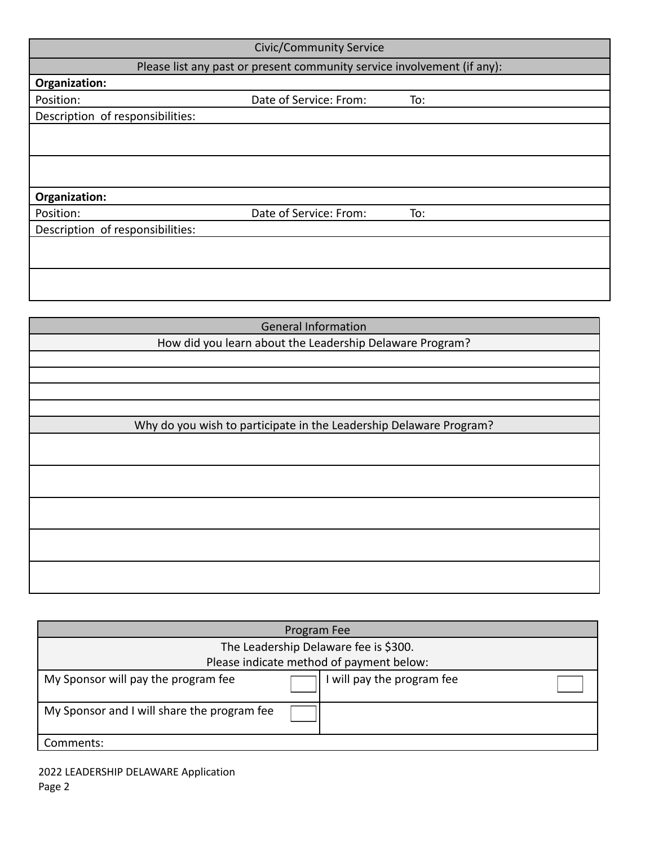| <b>Civic/Community Service</b>                                          |                        |     |  |  |  |
|-------------------------------------------------------------------------|------------------------|-----|--|--|--|
| Please list any past or present community service involvement (if any): |                        |     |  |  |  |
| Organization:                                                           |                        |     |  |  |  |
| Position:                                                               | Date of Service: From: | To: |  |  |  |
| Description of responsibilities:                                        |                        |     |  |  |  |
|                                                                         |                        |     |  |  |  |
|                                                                         |                        |     |  |  |  |
|                                                                         |                        |     |  |  |  |
|                                                                         |                        |     |  |  |  |
| Organization:                                                           |                        |     |  |  |  |
| Position:                                                               | Date of Service: From: | To: |  |  |  |
| Description of responsibilities:                                        |                        |     |  |  |  |
|                                                                         |                        |     |  |  |  |
|                                                                         |                        |     |  |  |  |
|                                                                         |                        |     |  |  |  |
|                                                                         |                        |     |  |  |  |

| <b>General Information</b>                                         |  |  |
|--------------------------------------------------------------------|--|--|
| How did you learn about the Leadership Delaware Program?           |  |  |
|                                                                    |  |  |
|                                                                    |  |  |
|                                                                    |  |  |
|                                                                    |  |  |
| Why do you wish to participate in the Leadership Delaware Program? |  |  |
|                                                                    |  |  |
|                                                                    |  |  |
|                                                                    |  |  |
|                                                                    |  |  |
|                                                                    |  |  |
|                                                                    |  |  |
|                                                                    |  |  |
|                                                                    |  |  |
|                                                                    |  |  |
|                                                                    |  |  |

| Program Fee                                 |  |                          |  |  |
|---------------------------------------------|--|--------------------------|--|--|
| The Leadership Delaware fee is \$300.       |  |                          |  |  |
| Please indicate method of payment below:    |  |                          |  |  |
| My Sponsor will pay the program fee         |  | will pay the program fee |  |  |
| My Sponsor and I will share the program fee |  |                          |  |  |
| Comments:                                   |  |                          |  |  |

2022 LEADERSHIP DELAWARE Application Page 2